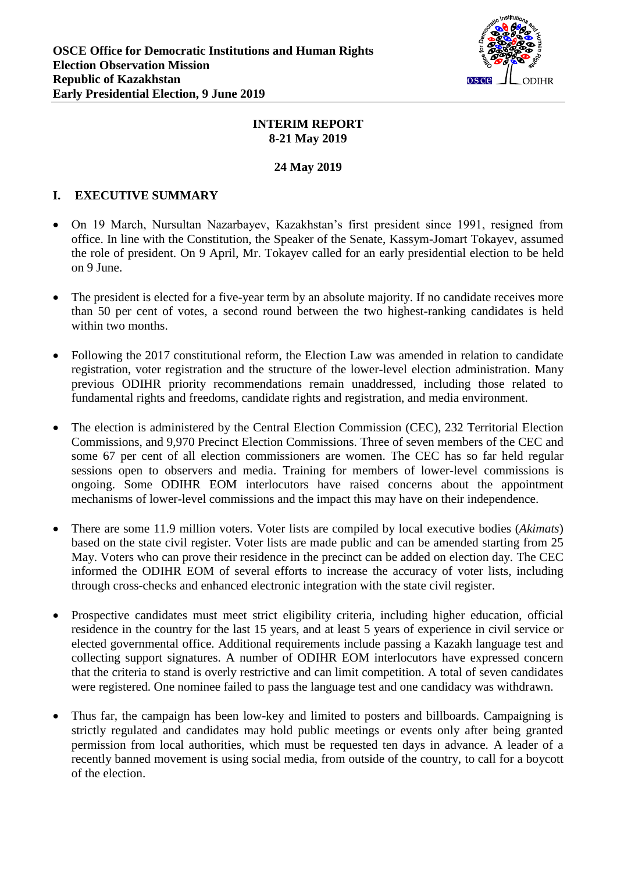

#### **INTERIM REPORT 8-21 May 2019**

#### **24 May 2019**

### **I. EXECUTIVE SUMMARY**

- On 19 March, Nursultan Nazarbayev, Kazakhstan's first president since 1991, resigned from office. In line with the Constitution, the Speaker of the Senate, Kassym-Jomart Tokayev, assumed the role of president. On 9 April, Mr. Tokayev called for an early presidential election to be held on 9 June.
- The president is elected for a five-year term by an absolute majority. If no candidate receives more than 50 per cent of votes, a second round between the two highest-ranking candidates is held within two months.
- Following the 2017 constitutional reform, the Election Law was amended in relation to candidate registration, voter registration and the structure of the lower-level election administration. Many previous ODIHR priority recommendations remain unaddressed, including those related to fundamental rights and freedoms, candidate rights and registration, and media environment.
- The election is administered by the Central Election Commission (CEC), 232 Territorial Election Commissions, and 9,970 Precinct Election Commissions. Three of seven members of the CEC and some 67 per cent of all election commissioners are women. The CEC has so far held regular sessions open to observers and media. Training for members of lower-level commissions is ongoing. Some ODIHR EOM interlocutors have raised concerns about the appointment mechanisms of lower-level commissions and the impact this may have on their independence.
- There are some 11.9 million voters. Voter lists are compiled by local executive bodies (*Akimats*) based on the state civil register. Voter lists are made public and can be amended starting from 25 May. Voters who can prove their residence in the precinct can be added on election day. The CEC informed the ODIHR EOM of several efforts to increase the accuracy of voter lists, including through cross-checks and enhanced electronic integration with the state civil register.
- Prospective candidates must meet strict eligibility criteria, including higher education, official residence in the country for the last 15 years, and at least 5 years of experience in civil service or elected governmental office. Additional requirements include passing a Kazakh language test and collecting support signatures. A number of ODIHR EOM interlocutors have expressed concern that the criteria to stand is overly restrictive and can limit competition. A total of seven candidates were registered. One nominee failed to pass the language test and one candidacy was withdrawn.
- Thus far, the campaign has been low-key and limited to posters and billboards. Campaigning is strictly regulated and candidates may hold public meetings or events only after being granted permission from local authorities, which must be requested ten days in advance. A leader of a recently banned movement is using social media, from outside of the country, to call for a boycott of the election.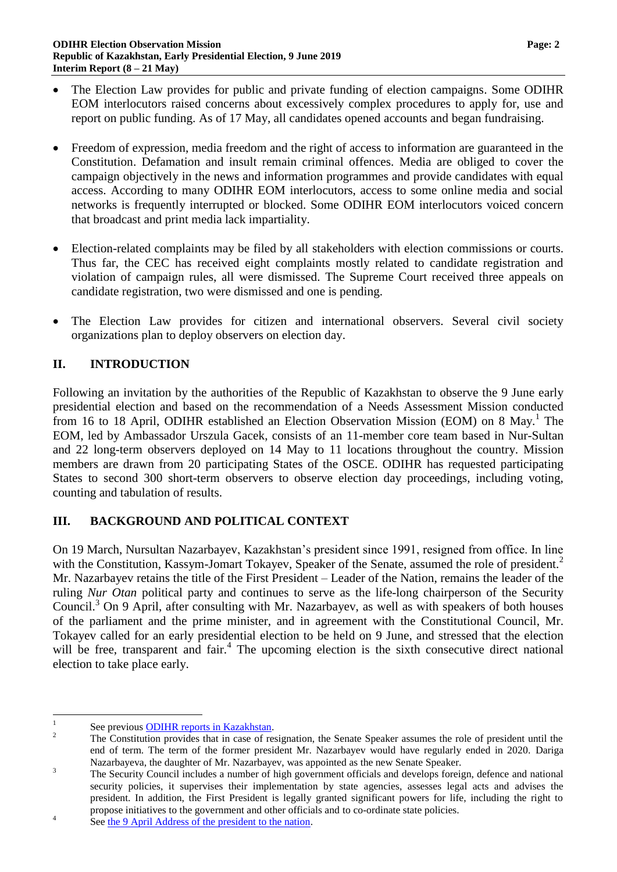- The Election Law provides for public and private funding of election campaigns. Some ODIHR EOM interlocutors raised concerns about excessively complex procedures to apply for, use and report on public funding. As of 17 May, all candidates opened accounts and began fundraising.
- Freedom of expression, media freedom and the right of access to information are guaranteed in the Constitution. Defamation and insult remain criminal offences. Media are obliged to cover the campaign objectively in the news and information programmes and provide candidates with equal access. According to many ODIHR EOM interlocutors, access to some online media and social networks is frequently interrupted or blocked. Some ODIHR EOM interlocutors voiced concern that broadcast and print media lack impartiality.
- Election-related complaints may be filed by all stakeholders with election commissions or courts. Thus far, the CEC has received eight complaints mostly related to candidate registration and violation of campaign rules, all were dismissed. The Supreme Court received three appeals on candidate registration, two were dismissed and one is pending.
- The Election Law provides for citizen and international observers. Several civil society organizations plan to deploy observers on election day.

# **II. INTRODUCTION**

Following an invitation by the authorities of the Republic of Kazakhstan to observe the 9 June early presidential election and based on the recommendation of a Needs Assessment Mission conducted from 16 to 18 April, ODIHR established an Election Observation Mission (EOM) on 8 May. 1 The EOM, led by Ambassador Urszula Gacek, consists of an 11-member core team based in Nur-Sultan and 22 long-term observers deployed on 14 May to 11 locations throughout the country. Mission members are drawn from 20 participating States of the OSCE. ODIHR has requested participating States to second 300 short-term observers to observe election day proceedings, including voting, counting and tabulation of results.

# **III. BACKGROUND AND POLITICAL CONTEXT**

On 19 March, Nursultan Nazarbayev, Kazakhstan's president since 1991, resigned from office. In line with the Constitution, Kassym-Jomart Tokayev, Speaker of the Senate, assumed the role of president.<sup>2</sup> Mr. Nazarbayev retains the title of the First President – Leader of the Nation, remains the leader of the ruling *Nur Otan* political party and continues to serve as the life-long chairperson of the Security Council. <sup>3</sup> On 9 April, after consulting with Mr. Nazarbayev, as well as with speakers of both houses of the parliament and the prime minister, and in agreement with the Constitutional Council, Mr. Tokayev called for an early presidential election to be held on 9 June, and stressed that the election will be free, transparent and fair.<sup>4</sup> The upcoming election is the sixth consecutive direct national election to take place early.

 $\frac{1}{1}$ See previous [ODIHR reports in Kazakhstan.](https://www.osce.org/odihr/elections/kazakhstan)

<sup>&</sup>lt;sup>2</sup> The Constitution provides that in case of resignation, the Senate Speaker assumes the role of president until the end of term. The term of the former president Mr. Nazarbayev would have regularly ended in 2020. Dariga Nazarbayeva, the daughter of Mr. Nazarbayev, was appointed as the new Senate Speaker.

<sup>&</sup>lt;sup>3</sup> The Security Council includes a number of high government officials and develops foreign, defence and national security policies, it supervises their implementation by state agencies, assesses legal acts and advises the president. In addition, the First President is legally granted significant powers for life, including the right to propose initiatives to the government and other officials and to co-ordinate state policies.

<sup>4</sup> See [the 9 April Address of the president to the nation.](http://www.akorda.kz/en/speeches/internal_political_affairs/in_speeches_and_addresses/address-of-the-president-of-kazakhstan-kassym-jomart-tokayev-to-the-nation)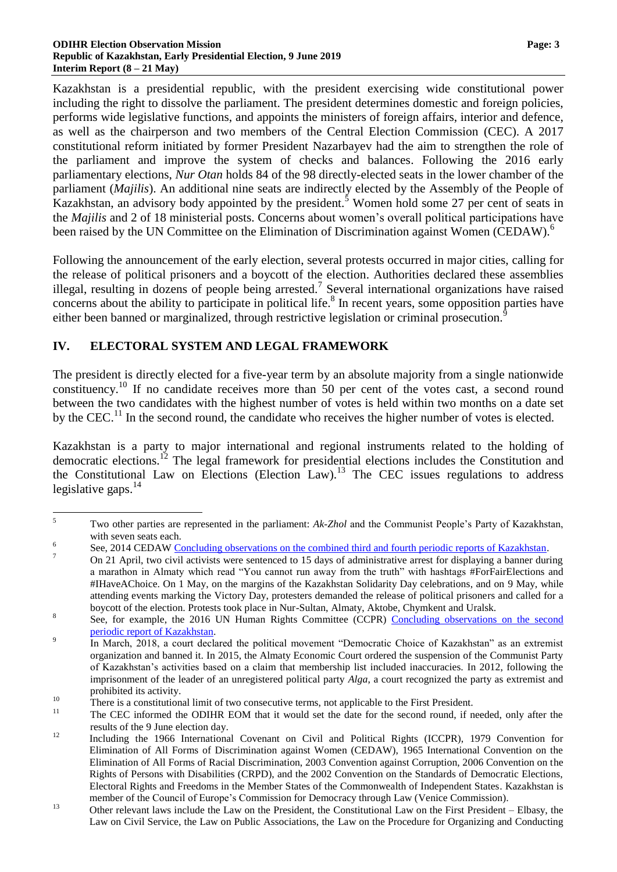Kazakhstan is a presidential republic, with the president exercising wide constitutional power including the right to dissolve the parliament. The president determines domestic and foreign policies, performs wide legislative functions, and appoints the ministers of foreign affairs, interior and defence, as well as the chairperson and two members of the Central Election Commission (CEC). A 2017 constitutional reform initiated by former President Nazarbayev had the aim to strengthen the role of the parliament and improve the system of checks and balances. Following the 2016 early parliamentary elections, *Nur Otan* holds 84 of the 98 directly-elected seats in the lower chamber of the parliament (*Majilis*). An additional nine seats are indirectly elected by the Assembly of the People of Kazakhstan, an advisory body appointed by the president.<sup>5</sup> Women hold some 27 per cent of seats in the *Majilis* and 2 of 18 ministerial posts. Concerns about women's overall political participations have been raised by the UN Committee on the Elimination of Discrimination against Women (CEDAW).<sup>6</sup>

Following the announcement of the early election, several protests occurred in major cities, calling for the release of political prisoners and a boycott of the election. Authorities declared these assemblies illegal, resulting in dozens of people being arrested.<sup>7</sup> Several international organizations have raised concerns about the ability to participate in political life. 8 In recent years, some opposition parties have either been banned or marginalized, through restrictive legislation or criminal prosecution.<sup>9</sup>

### **IV. ELECTORAL SYSTEM AND LEGAL FRAMEWORK**

The president is directly elected for a five-year term by an absolute majority from a single nationwide constituency.<sup>10</sup> If no candidate receives more than 50 per cent of the votes cast, a second round between the two candidates with the highest number of votes is held within two months on a date set by the CEC.<sup>11</sup> In the second round, the candidate who receives the higher number of votes is elected.

Kazakhstan is a party to major international and regional instruments related to the holding of democratic elections.<sup>12</sup> The legal framework for presidential elections includes the Constitution and the Constitutional Law on Elections (Election Law).<sup>13</sup> The CEC issues regulations to address legislative gaps.<sup>14</sup>

 $\overline{5}$ <sup>5</sup> Two other parties are represented in the parliament: *Ak-Zhol* and the Communist People's Party of Kazakhstan, with seven seats each.

<sup>6</sup> See, 2014 CEDAW [Concluding observations on the combined third and fourth periodic reports of Kazakhstan.](https://tbinternet.ohchr.org/_layouts/treatybodyexternal/Download.aspx?symbolno=CEDAW/C/KAZ/CO/3-4&Lang=En)

 $\overline{a}$  On 21 April, two civil activists were sentenced to 15 days of administrative arrest for displaying a banner during a marathon in Almaty which read "You cannot run away from the truth" with hashtags #ForFairElections and #IHaveAChoice. On 1 May, on the margins of the Kazakhstan Solidarity Day celebrations, and on 9 May, while attending events marking the Victory Day, protesters demanded the release of political prisoners and called for a boycott of the election. Protests took place in Nur-Sultan, Almaty, Aktobe, Chymkent and Uralsk.

<sup>8</sup> See, for example, the 2016 UN Human Rights Committee (CCPR) [Concluding observations on the second](http://docstore.ohchr.org/SelfServices/FilesHandler.ashx?enc=6QkG1d%2fPPRiCAqhKb7yhsnVLXh7tWotjakJ2A4dlu%2fy2qfDftERdCyCiDGloD6fvzZPyCZ0wxIQtC5PKOS88usA9KTALCc%2bvYBxRUcrhBBAppOyS%2foU4aLnMIOYiy%2blt)  [periodic report of Kazakhstan.](http://docstore.ohchr.org/SelfServices/FilesHandler.ashx?enc=6QkG1d%2fPPRiCAqhKb7yhsnVLXh7tWotjakJ2A4dlu%2fy2qfDftERdCyCiDGloD6fvzZPyCZ0wxIQtC5PKOS88usA9KTALCc%2bvYBxRUcrhBBAppOyS%2foU4aLnMIOYiy%2blt) 9

In March, 2018, a court declared the political movement "Democratic Choice of Kazakhstan" as an extremist organization and banned it. In 2015, the Almaty Economic Court ordered the suspension of the Communist Party of Kazakhstan's activities based on a claim that membership list included inaccuracies. In 2012, following the imprisonment of the leader of an unregistered political party *Alga*, a court recognized the party as extremist and prohibited its activity.

<sup>&</sup>lt;sup>10</sup> There is a constitutional limit of two consecutive terms, not applicable to the First President.

<sup>11</sup> The CEC informed the ODIHR EOM that it would set the date for the second round, if needed, only after the results of the 9 June election day.

<sup>&</sup>lt;sup>12</sup> Including the 1966 International Covenant on Civil and Political Rights (ICCPR), 1979 Convention for Elimination of All Forms of Discrimination against Women (CEDAW), 1965 International Convention on the Elimination of All Forms of Racial Discrimination, 2003 Convention against Corruption, 2006 Convention on the Rights of Persons with Disabilities (CRPD), and the 2002 Convention on the Standards of Democratic Elections, Electoral Rights and Freedoms in the Member States of the Commonwealth of Independent States. Kazakhstan is member of the Council of Europe's Commission for Democracy through Law (Venice Commission).

<sup>&</sup>lt;sup>13</sup> Other relevant laws include the Law on the President, the Constitutional Law on the First President – Elbasy, the Law on Civil Service, the Law on Public Associations, the Law on the Procedure for Organizing and Conducting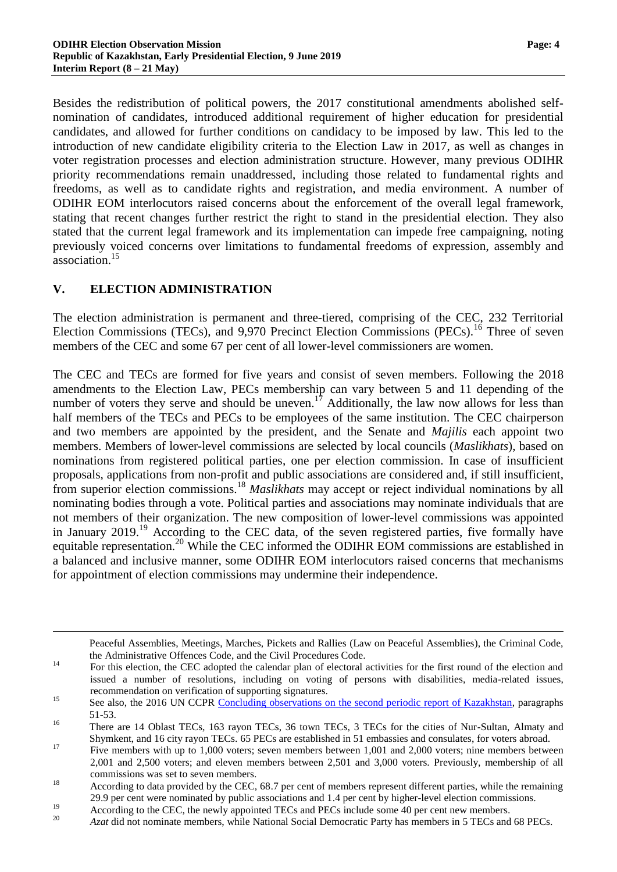Besides the redistribution of political powers, the 2017 constitutional amendments abolished selfnomination of candidates, introduced additional requirement of higher education for presidential candidates, and allowed for further conditions on candidacy to be imposed by law. This led to the introduction of new candidate eligibility criteria to the Election Law in 2017, as well as changes in voter registration processes and election administration structure. However, many previous ODIHR priority recommendations remain unaddressed, including those related to fundamental rights and freedoms, as well as to candidate rights and registration, and media environment. A number of ODIHR EOM interlocutors raised concerns about the enforcement of the overall legal framework, stating that recent changes further restrict the right to stand in the presidential election. They also stated that the current legal framework and its implementation can impede free campaigning, noting previously voiced concerns over limitations to fundamental freedoms of expression, assembly and association. 15

#### **V. ELECTION ADMINISTRATION**

 $\overline{a}$ 

The election administration is permanent and three-tiered, comprising of the CEC, 232 Territorial Election Commissions (TECs), and 9,970 Precinct Election Commissions (PECs).<sup>16</sup> Three of seven members of the CEC and some 67 per cent of all lower-level commissioners are women.

The CEC and TECs are formed for five years and consist of seven members. Following the 2018 amendments to the Election Law, PECs membership can vary between 5 and 11 depending of the number of voters they serve and should be uneven.<sup>17</sup> Additionally, the law now allows for less than half members of the TECs and PECs to be employees of the same institution. The CEC chairperson and two members are appointed by the president, and the Senate and *Majilis* each appoint two members. Members of lower-level commissions are selected by local councils (*Maslikhats*), based on nominations from registered political parties, one per election commission. In case of insufficient proposals, applications from non-profit and public associations are considered and, if still insufficient, from superior election commissions.<sup>18</sup> *Maslikhats* may accept or reject individual nominations by all nominating bodies through a vote. Political parties and associations may nominate individuals that are not members of their organization. The new composition of lower-level commissions was appointed in January 2019.<sup>19</sup> According to the CEC data, of the seven registered parties, five formally have equitable representation.<sup>20</sup> While the CEC informed the ODIHR EOM commissions are established in a balanced and inclusive manner, some ODIHR EOM interlocutors raised concerns that mechanisms for appointment of election commissions may undermine their independence.

Peaceful Assemblies, Meetings, Marches, Pickets and Rallies (Law on Peaceful Assemblies), the Criminal Code, the Administrative Offences Code, and the Civil Procedures Code.

<sup>&</sup>lt;sup>14</sup> For this election, the CEC adopted the calendar plan of electoral activities for the first round of the election and issued a number of resolutions, including on voting of persons with disabilities, media-related issues, recommendation on verification of supporting signatures.

<sup>&</sup>lt;sup>15</sup> See also, the 2016 UN CCPR [Concluding observations on the second periodic report of Kazakhstan,](http://docstore.ohchr.org/SelfServices/FilesHandler.ashx?enc=6QkG1d%2FPPRiCAqhKb7yhsnVLXh7tWotjakJ2A4dlu%2Fy2qfDftERdCyCiDGloD6fvzZPyCZ0wxIQtC5PKOS88usA9KTALCc%2BvYBxRUcrhBBAppOyS%2FoU4aLnMIOYiy%2Blt) paragraphs 51-53.

<sup>&</sup>lt;sup>16</sup> There are 14 Oblast TECs, 163 rayon TECs, 36 town TECs, 3 TECs for the cities of Nur-Sultan, Almaty and Shymkent, and 16 city rayon TECs. 65 PECs are established in 51 embassies and consulates, for voters abroad.

<sup>&</sup>lt;sup>17</sup> Five members with up to 1,000 voters; seven members between 1,001 and 2,000 voters; nine members between 2,001 and 2,500 voters; and eleven members between 2,501 and 3,000 voters. Previously, membership of all commissions was set to seven members.

<sup>&</sup>lt;sup>18</sup> According to data provided by the CEC, 68.7 per cent of members represent different parties, while the remaining 29.9 per cent were nominated by public associations and 1.4 per cent by higher-level election commissions.

<sup>&</sup>lt;sup>19</sup><br>According to the CEC, the newly appointed TECs and PECs include some 40 per cent new members.<br> $\frac{20}{20}$ 

Azat did not nominate members, while National Social Democratic Party has members in 5 TECs and 68 PECs.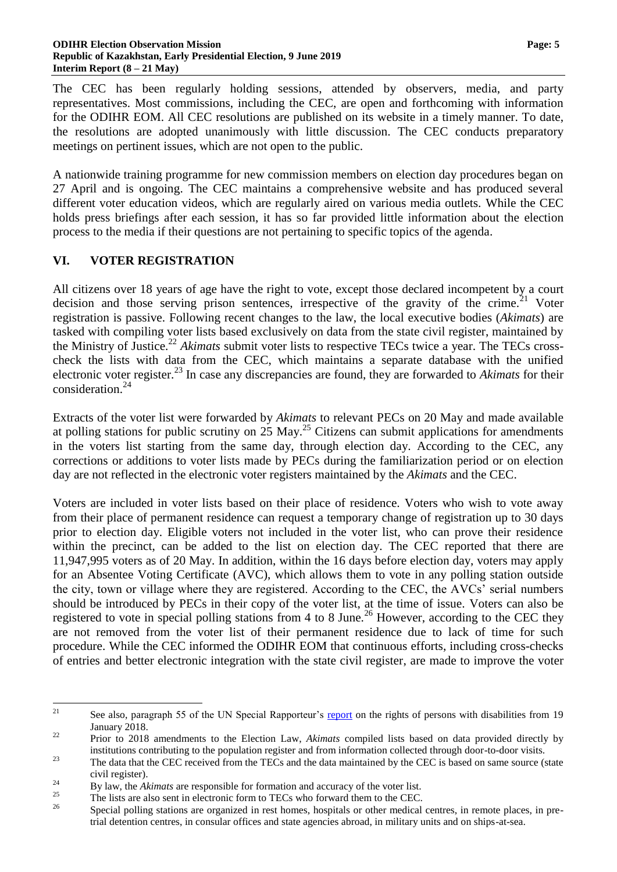The CEC has been regularly holding sessions, attended by observers, media, and party representatives. Most commissions, including the CEC, are open and forthcoming with information for the ODIHR EOM. All CEC resolutions are published on its website in a timely manner. To date, the resolutions are adopted unanimously with little discussion. The CEC conducts preparatory meetings on pertinent issues, which are not open to the public.

A nationwide training programme for new commission members on election day procedures began on 27 April and is ongoing. The CEC maintains a comprehensive website and has produced several different voter education videos, which are regularly aired on various media outlets. While the CEC holds press briefings after each session, it has so far provided little information about the election process to the media if their questions are not pertaining to specific topics of the agenda.

#### **VI. VOTER REGISTRATION**

All citizens over 18 years of age have the right to vote, except those declared incompetent by a court decision and those serving prison sentences, irrespective of the gravity of the crime.<sup>21</sup> Voter registration is passive. Following recent changes to the law, the local executive bodies (*Akimats*) are tasked with compiling voter lists based exclusively on data from the state civil register, maintained by the Ministry of Justice.<sup>22</sup> *Akimats* submit voter lists to respective TECs twice a year. The TECs crosscheck the lists with data from the CEC, which maintains a separate database with the unified electronic voter register. <sup>23</sup> In case any discrepancies are found, they are forwarded to *Akimats* for their consideration.<sup>24</sup>

Extracts of the voter list were forwarded by *Akimats* to relevant PECs on 20 May and made available at polling stations for public scrutiny on  $25$  May.<sup>25</sup> Citizens can submit applications for amendments in the voters list starting from the same day, through election day. According to the CEC, any corrections or additions to voter lists made by PECs during the familiarization period or on election day are not reflected in the electronic voter registers maintained by the *Akimats* and the CEC.

Voters are included in voter lists based on their place of residence. Voters who wish to vote away from their place of permanent residence can request a temporary change of registration up to 30 days prior to election day. Eligible voters not included in the voter list, who can prove their residence within the precinct, can be added to the list on election day. The CEC reported that there are 11,947,995 voters as of 20 May. In addition, within the 16 days before election day, voters may apply for an Absentee Voting Certificate (AVC), which allows them to vote in any polling station outside the city, town or village where they are registered. According to the CEC, the AVCs' serial numbers should be introduced by PECs in their copy of the voter list, at the time of issue. Voters can also be registered to vote in special polling stations from 4 to 8 June.<sup>26</sup> However, according to the CEC they are not removed from the voter list of their permanent residence due to lack of time for such procedure. While the CEC informed the ODIHR EOM that continuous efforts, including cross-checks of entries and better electronic integration with the state civil register, are made to improve the voter

 $21$ See also, paragraph 55 of the UN Special Rapporteur's [report](https://ohchr.org/Documents/Issues/Disability/A_HRC_37_56_Add_2.docx) on the rights of persons with disabilities from 19 January 2018.

<sup>&</sup>lt;sup>22</sup> Prior to 2018 amendments to the Election Law, *Akimats* compiled lists based on data provided directly by institutions contributing to the population register and from information collected through door-to-door visits.

<sup>&</sup>lt;sup>23</sup><br>The data that the CEC received from the TECs and the data maintained by the CEC is based on same source (state civil register).

<sup>&</sup>lt;sup>24</sup> By law, the *Akimats* are responsible for formation and accuracy of the voter list.

<sup>&</sup>lt;sup>25</sup><br>The lists are also sent in electronic form to TECs who forward them to the CEC.<br>Special polling stations are argument in rest borres beguitely on other modical

<sup>26</sup> Special polling stations are organized in rest homes, hospitals or other medical centres, in remote places, in pretrial detention centres, in consular offices and state agencies abroad, in military units and on ships-at-sea.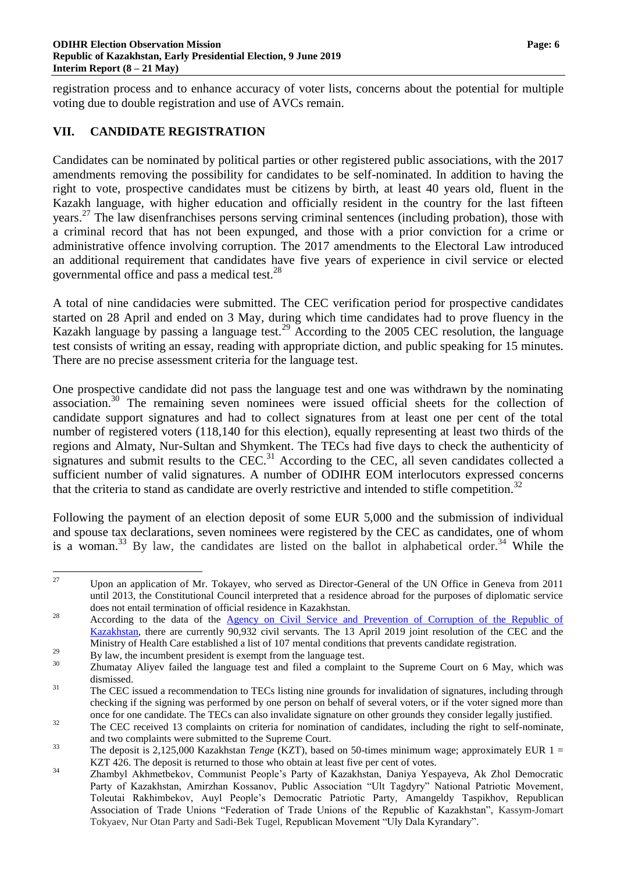registration process and to enhance accuracy of voter lists, concerns about the potential for multiple voting due to double registration and use of AVCs remain.

#### **VII. CANDIDATE REGISTRATION**

Candidates can be nominated by political parties or other registered public associations, with the 2017 amendments removing the possibility for candidates to be self-nominated. In addition to having the right to vote, prospective candidates must be citizens by birth, at least 40 years old, fluent in the Kazakh language, with higher education and officially resident in the country for the last fifteen years.<sup>27</sup> The law disenfranchises persons serving criminal sentences (including probation), those with a criminal record that has not been expunged, and those with a prior conviction for a crime or administrative offence involving corruption. The 2017 amendments to the Electoral Law introduced an additional requirement that candidates have five years of experience in civil service or elected governmental office and pass a medical test.<sup>28</sup>

A total of nine candidacies were submitted. The CEC verification period for prospective candidates started on 28 April and ended on 3 May, during which time candidates had to prove fluency in the Kazakh language by passing a language test.<sup>29</sup> According to the 2005 CEC resolution, the language test consists of writing an essay, reading with appropriate diction, and public speaking for 15 minutes. There are no precise assessment criteria for the language test.

One prospective candidate did not pass the language test and one was withdrawn by the nominating association.<sup>30</sup> The remaining seven nominees were issued official sheets for the collection of candidate support signatures and had to collect signatures from at least one per cent of the total number of registered voters (118,140 for this election), equally representing at least two thirds of the regions and Almaty, Nur-Sultan and Shymkent. The TECs had five days to check the authenticity of signatures and submit results to the CEC.<sup>31</sup> According to the CEC, all seven candidates collected a sufficient number of valid signatures. A number of ODIHR EOM interlocutors expressed concerns that the criteria to stand as candidate are overly restrictive and intended to stifle competition.<sup>32</sup>

Following the payment of an election deposit of some EUR 5,000 and the submission of individual and spouse tax declarations, seven nominees were registered by the CEC as candidates, one of whom is a woman.<sup>33</sup> By law, the candidates are listed on the ballot in alphabetical order.<sup>34</sup> While the

<sup>27</sup> Upon an application of Mr. Tokayev, who served as Director-General of the UN Office in Geneva from 2011 until 2013, the Constitutional Council interpreted that a residence abroad for the purposes of diplomatic service does not entail termination of official residence in Kazakhstan.

<sup>&</sup>lt;sup>28</sup> According to the data of the <u>Agency on Civil Service and Prevention</u> of Corruption of the Republic of [Kazakhstan,](http://kyzmet.gov.kz/en) there are currently 90,932 civil servants. The 13 April 2019 joint resolution of the CEC and the Ministry of Health Care established a list of 107 mental conditions that prevents candidate registration.

<sup>&</sup>lt;sup>29</sup> By law, the incumbent president is exempt from the language test.

Zhumatay Aliyev failed the language test and filed a complaint to the Supreme Court on 6 May, which was dismissed.

<sup>&</sup>lt;sup>31</sup> The CEC issued a recommendation to TECs listing nine grounds for invalidation of signatures, including through checking if the signing was performed by one person on behalf of several voters, or if the voter signed more than once for one candidate. The TECs can also invalidate signature on other grounds they consider legally justified.

<sup>&</sup>lt;sup>32</sup> The CEC received 13 complaints on criteria for nomination of candidates, including the right to self-nominate, and two complaints were submitted to the Supreme Court.

<sup>&</sup>lt;sup>33</sup> The deposit is 2,125,000 Kazakhstan *Tenge* (KZT), based on 50-times minimum wage; approximately EUR 1 = KZT 426. The deposit is returned to those who obtain at least five per cent of votes.

<sup>34</sup> Zhambyl Akhmetbekov, Communist People's Party of Kazakhstan, Daniya Yespayeva, Ak Zhol Democratic Party of Kazakhstan, Amirzhan Kossanov, Public Association "Ult Tagdyry" National Patriotic Movement, Toleutai Rakhimbekov, Auyl People's Democratic Patriotic Party, Amangeldy Taspikhov, Republican Association of Trade Unions "Federation of Trade Unions of the Republic of Kazakhstan", Kassym-Jomart Tokyaev, Nur Otan Party and Sadi-Bek Tugel, Republican Movement "Uly Dala Kyrandary".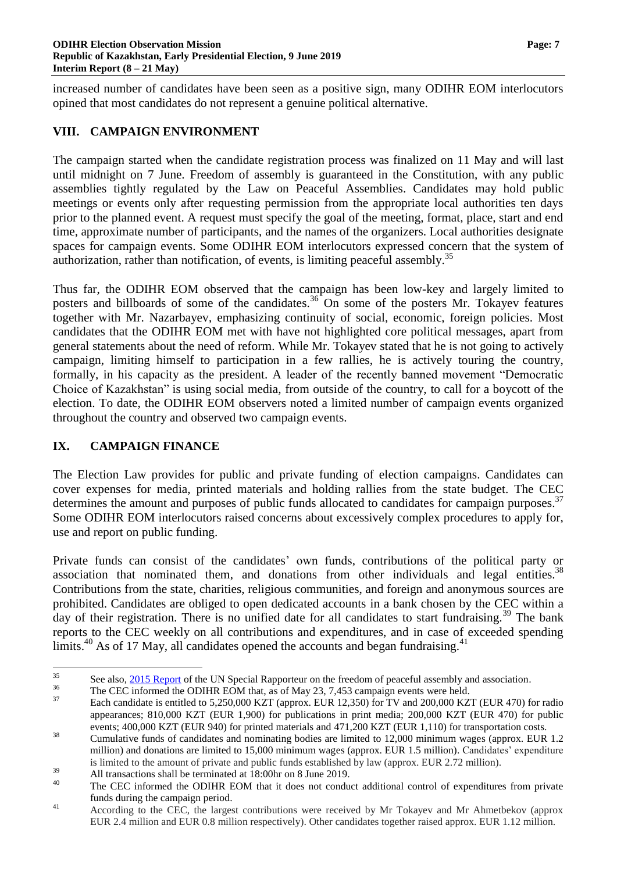increased number of candidates have been seen as a positive sign, many ODIHR EOM interlocutors opined that most candidates do not represent a genuine political alternative.

#### **VIII. CAMPAIGN ENVIRONMENT**

The campaign started when the candidate registration process was finalized on 11 May and will last until midnight on 7 June. Freedom of assembly is guaranteed in the Constitution, with any public assemblies tightly regulated by the Law on Peaceful Assemblies. Candidates may hold public meetings or events only after requesting permission from the appropriate local authorities ten days prior to the planned event. A request must specify the goal of the meeting, format, place, start and end time, approximate number of participants, and the names of the organizers. Local authorities designate spaces for campaign events. Some ODIHR EOM interlocutors expressed concern that the system of authorization, rather than notification, of events, is limiting peaceful assembly.<sup>35</sup>

Thus far, the ODIHR EOM observed that the campaign has been low-key and largely limited to posters and billboards of some of the candidates.<sup>36</sup> On some of the posters Mr. Tokayev features together with Mr. Nazarbayev, emphasizing continuity of social, economic, foreign policies. Most candidates that the ODIHR EOM met with have not highlighted core political messages, apart from general statements about the need of reform. While Mr. Tokayev stated that he is not going to actively campaign, limiting himself to participation in a few rallies, he is actively touring the country, formally, in his capacity as the president. A leader of the recently banned movement "Democratic Choice of Kazakhstan" is using social media, from outside of the country, to call for a boycott of the election. To date, the ODIHR EOM observers noted a limited number of campaign events organized throughout the country and observed two campaign events.

# **IX. CAMPAIGN FINANCE**

The Election Law provides for public and private funding of election campaigns. Candidates can cover expenses for media, printed materials and holding rallies from the state budget. The CEC determines the amount and purposes of public funds allocated to candidates for campaign purposes.<sup>37</sup> Some ODIHR EOM interlocutors raised concerns about excessively complex procedures to apply for, use and report on public funding.

Private funds can consist of the candidates' own funds, contributions of the political party or association that nominated them, and donations from other individuals and legal entities.<sup>38</sup> Contributions from the state, charities, religious communities, and foreign and anonymous sources are prohibited. Candidates are obliged to open dedicated accounts in a bank chosen by the CEC within a day of their registration. There is no unified date for all candidates to start fundraising.<sup>39</sup> The bank reports to the CEC weekly on all contributions and expenditures, and in case of exceeded spending limits.<sup>40</sup> As of 17 May, all candidates opened the accounts and began fundraising.<sup>41</sup>

 $35$ <sup>35</sup> See also,  $\frac{2015 \text{ Report}}{2015 \text{ Report}}$  of the UN Special Rapporteur on the freedom of peaceful assembly and association.

<sup>&</sup>lt;sup>36</sup> The CEC informed the ODIHR EOM that, as of May 23, 7,453 campaign events were held.<br><sup>37</sup>

Each candidate is entitled to 5,250,000 KZT (approx. EUR 12,350) for TV and 200,000 KZT (EUR 470) for radio appearances; 810,000 KZT (EUR 1,900) for publications in print media; 200,000 KZT (EUR 470) for public events; 400,000 KZT (EUR 940) for printed materials and 471,200 KZT (EUR 1,110) for transportation costs.

<sup>&</sup>lt;sup>38</sup> Cumulative funds of candidates and nominating bodies are limited to 12,000 minimum wages (approx. EUR 1.2 million) and donations are limited to 15,000 minimum wages (approx. EUR 1.5 million). Candidates' expenditure is limited to the amount of private and public funds established by law (approx. EUR 2.72 million).

 $\frac{39}{40}$  All transactions shall be terminated at 18:00hr on 8 June 2019.

The CEC informed the ODIHR EOM that it does not conduct additional control of expenditures from private funds during the campaign period.

<sup>&</sup>lt;sup>41</sup> According to the CEC, the largest contributions were received by Mr Tokayev and Mr Ahmetbekov (approx EUR 2.4 million and EUR 0.8 million respectively). Other candidates together raised approx. EUR 1.12 million.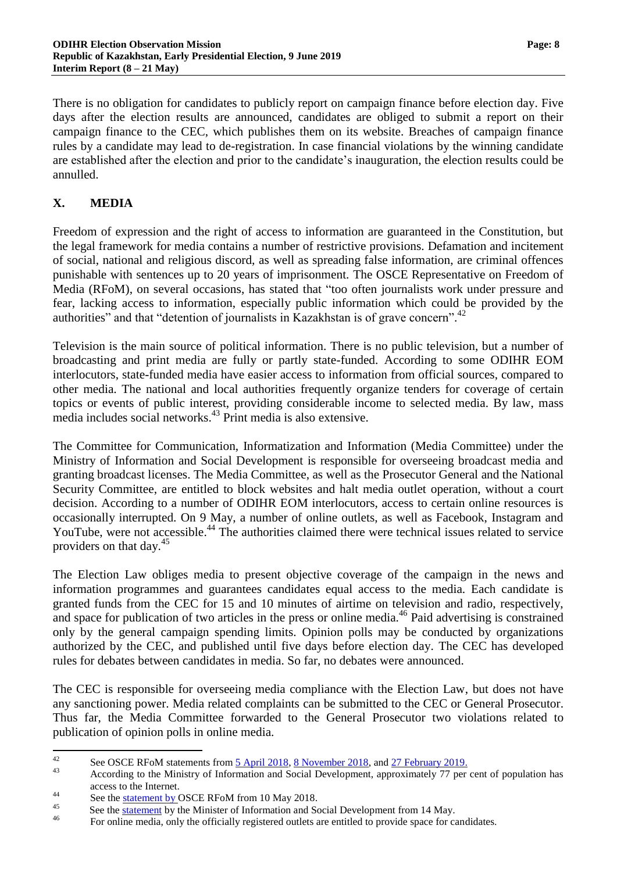There is no obligation for candidates to publicly report on campaign finance before election day. Five days after the election results are announced, candidates are obliged to submit a report on their campaign finance to the CEC, which publishes them on its website. Breaches of campaign finance rules by a candidate may lead to de-registration. In case financial violations by the winning candidate are established after the election and prior to the candidate's inauguration, the election results could be annulled.

### **X. MEDIA**

Freedom of expression and the right of access to information are guaranteed in the Constitution, but the legal framework for media contains a number of restrictive provisions. Defamation and incitement of social, national and religious discord, as well as spreading false information, are criminal offences punishable with sentences up to 20 years of imprisonment. The OSCE Representative on Freedom of Media (RFoM), on several occasions, has stated that "too often journalists work under pressure and fear, lacking access to information, especially public information which could be provided by the authorities" and that "detention of journalists in Kazakhstan is of grave concern".<sup>42</sup>

Television is the main source of political information. There is no public television, but a number of broadcasting and print media are fully or partly state-funded. According to some ODIHR EOM interlocutors, state-funded media have easier access to information from official sources, compared to other media. The national and local authorities frequently organize tenders for coverage of certain topics or events of public interest, providing considerable income to selected media. By law, mass media includes social networks.<sup>43</sup> Print media is also extensive.

The Committee for Communication, Informatization and Information (Media Committee) under the Ministry of Information and Social Development is responsible for overseeing broadcast media and granting broadcast licenses. The Media Committee, as well as the Prosecutor General and the National Security Committee, are entitled to block websites and halt media outlet operation, without a court decision. According to a number of ODIHR EOM interlocutors, access to certain online resources is occasionally interrupted. On 9 May, a number of online outlets, as well as Facebook, Instagram and YouTube, were not accessible.<sup>44</sup> The authorities claimed there were technical issues related to service providers on that day.<sup>45</sup>

The Election Law obliges media to present objective coverage of the campaign in the news and information programmes and guarantees candidates equal access to the media. Each candidate is granted funds from the CEC for 15 and 10 minutes of airtime on television and radio, respectively, and space for publication of two articles in the press or online media.<sup>46</sup> Paid advertising is constrained only by the general campaign spending limits. Opinion polls may be conducted by organizations authorized by the CEC, and published until five days before election day. The CEC has developed rules for debates between candidates in media. So far, no debates were announced.

The CEC is responsible for overseeing media compliance with the Election Law, but does not have any sanctioning power. Media related complaints can be submitted to the CEC or General Prosecutor. Thus far, the Media Committee forwarded to the General Prosecutor two violations related to publication of opinion polls in online media.

 $42$ <sup>42</sup> See OSCE RFoM statements from  $\frac{5 \text{ April } 2018}{2018}$ ,  $\frac{8 \text{ November } 2018}{2018}$ , and  $\frac{27 \text{ February } 2019}{27}$ .

According to the Ministry of Information and Social Development, approximately 77 per cent of population has access to the Internet.

<sup>&</sup>lt;sup>44</sup><br>See the <u>statement by</u> OSCE RFoM from 10 May 2018.

<sup>&</sup>lt;sup>45</sup> See the <u>statement</u> by the Minister of Information and Social Development from 14 May.

For online media, only the officially registered outlets are entitled to provide space for candidates.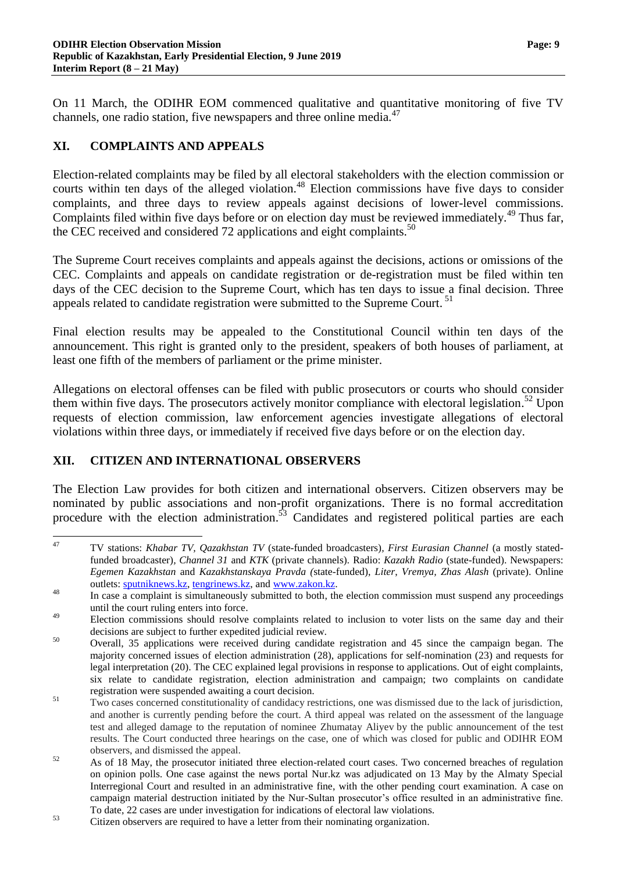On 11 March, the ODIHR EOM commenced qualitative and quantitative monitoring of five TV channels, one radio station, five newspapers and three online media.<sup>47</sup>

# **XI. COMPLAINTS AND APPEALS**

Election-related complaints may be filed by all electoral stakeholders with the election commission or courts within ten days of the alleged violation. <sup>48</sup> Election commissions have five days to consider complaints, and three days to review appeals against decisions of lower-level commissions. Complaints filed within five days before or on election day must be reviewed immediately.<sup>49</sup> Thus far, the CEC received and considered 72 applications and eight complaints.<sup>50</sup>

The Supreme Court receives complaints and appeals against the decisions, actions or omissions of the CEC. Complaints and appeals on candidate registration or de-registration must be filed within ten days of the CEC decision to the Supreme Court, which has ten days to issue a final decision. Three appeals related to candidate registration were submitted to the Supreme Court.<sup>51</sup>

Final election results may be appealed to the Constitutional Council within ten days of the announcement. This right is granted only to the president, speakers of both houses of parliament, at least one fifth of the members of parliament or the prime minister.

Allegations on electoral offenses can be filed with public prosecutors or courts who should consider them within five days. The prosecutors actively monitor compliance with electoral legislation.<sup>52</sup> Upon requests of election commission, law enforcement agencies investigate allegations of electoral violations within three days, or immediately if received five days before or on the election day.

# **XII. CITIZEN AND INTERNATIONAL OBSERVERS**

The Election Law provides for both citizen and international observers. Citizen observers may be nominated by public associations and non-profit organizations. There is no formal accreditation procedure with the election administration.<sup>53</sup> Candidates and registered political parties are each

 $\overline{47}$ <sup>47</sup> TV stations: *Khabar TV, Qazakhstan TV* (state-funded broadcasters)*, First Eurasian Channel* (a mostly statedfunded broadcaster)*, Channel 31* and *KTK* (private channels)*.* Radio: *Kazakh Radio* (state-funded). Newspapers: *Egemen Kazakhstan* and *Kazakhstanskaya Pravda (*state-funded), *Liter*, *Vremya, Zhas Alash* (private). Online outlets: [sputniknews.kz,](https://sputniknews.kz/) [tengrinews.kz,](https://tengrinews.kz/) and [www.zakon.kz.](https://www.zakon.kz/)

<sup>&</sup>lt;sup>48</sup> In case a complaint is simultaneously submitted to both, the election commission must suspend any proceedings until the court ruling enters into force.

<sup>&</sup>lt;sup>49</sup> Election commissions should resolve complaints related to inclusion to voter lists on the same day and their decisions are subject to further expedited judicial review.

<sup>50</sup> Overall, 35 applications were received during candidate registration and 45 since the campaign began. The majority concerned issues of election administration (28), applications for self-nomination (23) and requests for legal interpretation (20). The CEC explained legal provisions in response to applications. Out of eight complaints, six relate to candidate registration, election administration and campaign; two complaints on candidate registration were suspended awaiting a court decision.

<sup>&</sup>lt;sup>51</sup> Two cases concerned constitutionality of candidacy restrictions, one was dismissed due to the lack of jurisdiction, and another is currently pending before the court. A third appeal was related on the assessment of the language test and alleged damage to the reputation of nominee Zhumatay Aliyev by the public announcement of the test results. The Court conducted three hearings on the case, one of which was closed for public and ODIHR EOM observers, and dismissed the appeal.

<sup>&</sup>lt;sup>52</sup> As of 18 May, the prosecutor initiated three election-related court cases. Two concerned breaches of regulation on opinion polls. One case against the news portal Nur.kz was adjudicated on 13 May by the Almaty Special Interregional Court and resulted in an administrative fine, with the other pending court examination. A case on campaign material destruction initiated by the Nur-Sultan prosecutor's office resulted in an administrative fine. To date, 22 cases are under investigation for indications of electoral law violations.

<sup>53</sup> Citizen observers are required to have a letter from their nominating organization.